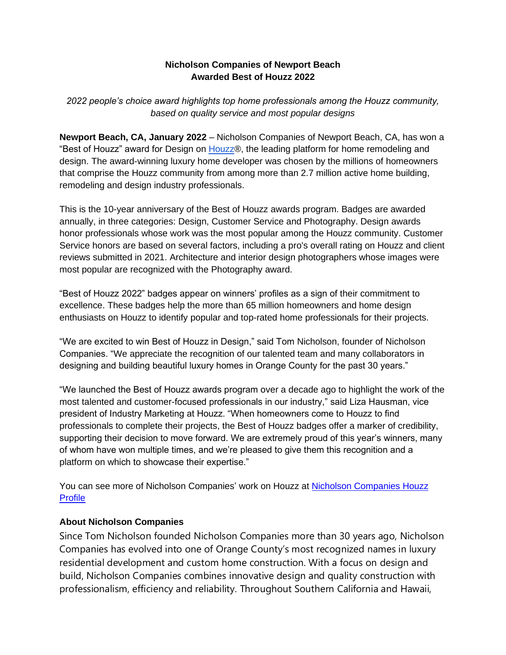## **Nicholson Companies of Newport Beach Awarded Best of Houzz 2022**

*2022 people's choice award highlights top home professionals among the Houzz community, based on quality service and most popular designs*

**Newport Beach, CA, January 2022** – Nicholson Companies of Newport Beach, CA, has won a "Best of Houzz" award for Desig[n](http://www.houzz.com/) on [Houzz®](http://www.houzz.com/), the leading platform for home remodeling and design. The award-winning luxury home developer was chosen by the millions of homeowners that comprise the Houzz community from among more than 2.7 million active home building, remodeling and design industry professionals.

This is the 10-year anniversary of the Best of Houzz awards program. Badges are awarded annually, in three categories: Design, Customer Service and Photography. Design awards honor professionals whose work was the most popular among the Houzz community. Customer Service honors are based on several factors, including a pro's overall rating on Houzz and client reviews submitted in 2021. Architecture and interior design photographers whose images were most popular are recognized with the Photography award.

"Best of Houzz 2022" badges appear on winners' profiles as a sign of their commitment to excellence. These badges help the more than 65 million homeowners and home design enthusiasts on Houzz to identify popular and top-rated home professionals for their projects.

"We are excited to win Best of Houzz in Design," said Tom Nicholson, founder of Nicholson Companies. "We appreciate the recognition of our talented team and many collaborators in designing and building beautiful luxury homes in Orange County for the past 30 years."

"We launched the Best of Houzz awards program over a decade ago to highlight the work of the most talented and customer-focused professionals in our industry," said Liza Hausman, vice president of Industry Marketing at Houzz. "When homeowners come to Houzz to find professionals to complete their projects, the Best of Houzz badges offer a marker of credibility, supporting their decision to move forward. We are extremely proud of this year's winners, many of whom have won multiple times, and we're pleased to give them this recognition and a platform on which to showcase their expertise."

You can see more of Nicholson Companies' work on Houzz at Nicholson Companies Houzz [Profile](https://www.houzz.com/professionals/design-build-firms/nicholson-companies-pfvwus-pf~1988674324)

## **About Nicholson Companies**

Since Tom Nicholson founded Nicholson Companies more than 30 years ago, Nicholson Companies has evolved into one of Orange County's most recognized names in luxury residential development and custom home construction. With a focus on design and build, Nicholson Companies combines innovative design and quality construction with professionalism, efficiency and reliability. Throughout Southern California and Hawaii,